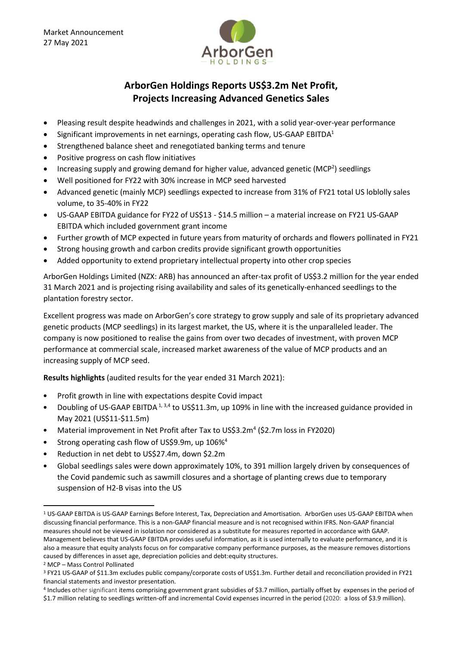

## **ArborGen Holdings Reports US\$3.2m Net Profit, Projects Increasing Advanced Genetics Sales**

- Pleasing result despite headwinds and challenges in 2021, with a solid year-over-year performance
- $\bullet$  Significant improvements in net earnings, operating cash flow, US-GAAP EBITDA<sup>1</sup>
- Strengthened balance sheet and renegotiated banking terms and tenure
- Positive progress on cash flow initiatives
- Increasing supply and growing demand for higher value, advanced genetic (MCP<sup>2</sup>) seedlings
- Well positioned for FY22 with 30% increase in MCP seed harvested
- Advanced genetic (mainly MCP) seedlings expected to increase from 31% of FY21 total US loblolly sales volume, to 35-40% in FY22
- US-GAAP EBITDA guidance for FY22 of US\$13 \$14.5 million a material increase on FY21 US-GAAP EBITDA which included government grant income
- Further growth of MCP expected in future years from maturity of orchards and flowers pollinated in FY21
- Strong housing growth and carbon credits provide significant growth opportunities
- Added opportunity to extend proprietary intellectual property into other crop species

ArborGen Holdings Limited (NZX: ARB) has announced an after-tax profit of US\$3.2 million for the year ended 31 March 2021 and is projecting rising availability and sales of its genetically-enhanced seedlings to the plantation forestry sector.

Excellent progress was made on ArborGen's core strategy to grow supply and sale of its proprietary advanced genetic products (MCP seedlings) in its largest market, the US, where it is the unparalleled leader. The company is now positioned to realise the gains from over two decades of investment, with proven MCP performance at commercial scale, increased market awareness of the value of MCP products and an increasing supply of MCP seed.

**Results highlights** (audited results for the year ended 31 March 2021):

- Profit growth in line with expectations despite Covid impact
- Doubling of US-GAAP EBITDA<sup>1, 3,4</sup> to US\$11.3m, up 109% in line with the increased guidance provided in May 2021 (US\$11-\$11.5m)
- Material improvement in Net Profit after Tax to US\$3.2m<sup>4</sup> (\$2.7m loss in FY2020)
- Strong operating cash flow of US\$9.9m, up 106%<sup>4</sup>
- Reduction in net debt to US\$27.4m, down \$2.2m
- Global seedlings sales were down approximately 10%, to 391 million largely driven by consequences of the Covid pandemic such as sawmill closures and a shortage of planting crews due to temporary suspension of H2-B visas into the US

**.** 

<sup>1</sup> US-GAAP EBITDA is US-GAAP Earnings Before Interest, Tax, Depreciation and Amortisation. ArborGen uses US-GAAP EBITDA when discussing financial performance. This is a non-GAAP financial measure and is not recognised within IFRS. Non-GAAP financial measures should not be viewed in isolation nor considered as a substitute for measures reported in accordance with GAAP. Management believes that US-GAAP EBITDA provides useful information, as it is used internally to evaluate performance, and it is also a measure that equity analysts focus on for comparative company performance purposes, as the measure removes distortions caused by differences in asset age, depreciation policies and debt:equity structures.

<sup>2</sup> MCP – Mass Control Pollinated

<sup>3</sup> FY21 US-GAAP of \$11.3m excludes public company/corporate costs of US\$1.3m. Further detail and reconciliation provided in FY21 financial statements and investor presentation.

<sup>4</sup> Includes other significant items comprising government grant subsidies of \$3.7 million, partially offset by expenses in the period of \$1.7 million relating to seedlings written-off and incremental Covid expenses incurred in the period (2020: a loss of \$3.9 million).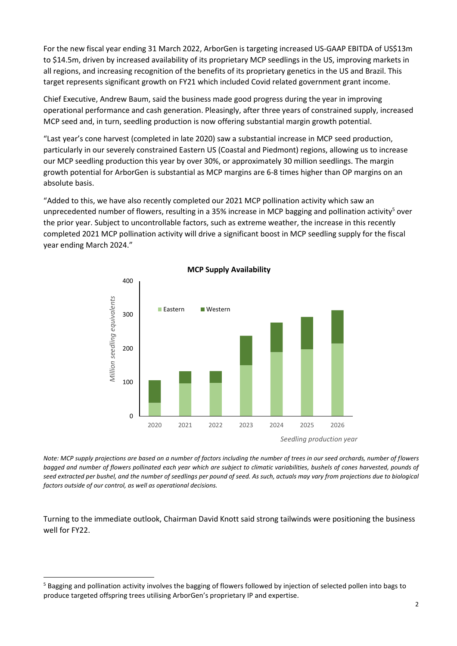For the new fiscal year ending 31 March 2022, ArborGen is targeting increased US-GAAP EBITDA of US\$13m to \$14.5m, driven by increased availability of its proprietary MCP seedlings in the US, improving markets in all regions, and increasing recognition of the benefits of its proprietary genetics in the US and Brazil. This target represents significant growth on FY21 which included Covid related government grant income.

Chief Executive, Andrew Baum, said the business made good progress during the year in improving operational performance and cash generation. Pleasingly, after three years of constrained supply, increased MCP seed and, in turn, seedling production is now offering substantial margin growth potential.

"Last year's cone harvest (completed in late 2020) saw a substantial increase in MCP seed production, particularly in our severely constrained Eastern US (Coastal and Piedmont) regions, allowing us to increase our MCP seedling production this year by over 30%, or approximately 30 million seedlings. The margin growth potential for ArborGen is substantial as MCP margins are 6-8 times higher than OP margins on an absolute basis.

"Added to this, we have also recently completed our 2021 MCP pollination activity which saw an unprecedented number of flowers, resulting in a 35% increase in MCP bagging and pollination activity<sup>5</sup> over the prior year. Subject to uncontrollable factors, such as extreme weather, the increase in this recently completed 2021 MCP pollination activity will drive a significant boost in MCP seedling supply for the fiscal year ending March 2024."



*Note: MCP supply projections are based on a number of factors including the number of trees in our seed orchards, number of flowers bagged and number of flowers pollinated each year which are subject to climatic variabilities, bushels of cones harvested, pounds of seed extracted per bushel, and the number of seedlings per pound of seed. As such, actuals may vary from projections due to biological factors outside of our control, as well as operational decisions.*

Turning to the immediate outlook, Chairman David Knott said strong tailwinds were positioning the business well for FY22.

**.** 

<sup>&</sup>lt;sup>5</sup> Bagging and pollination activity involves the bagging of flowers followed by injection of selected pollen into bags to produce targeted offspring trees utilising ArborGen's proprietary IP and expertise.